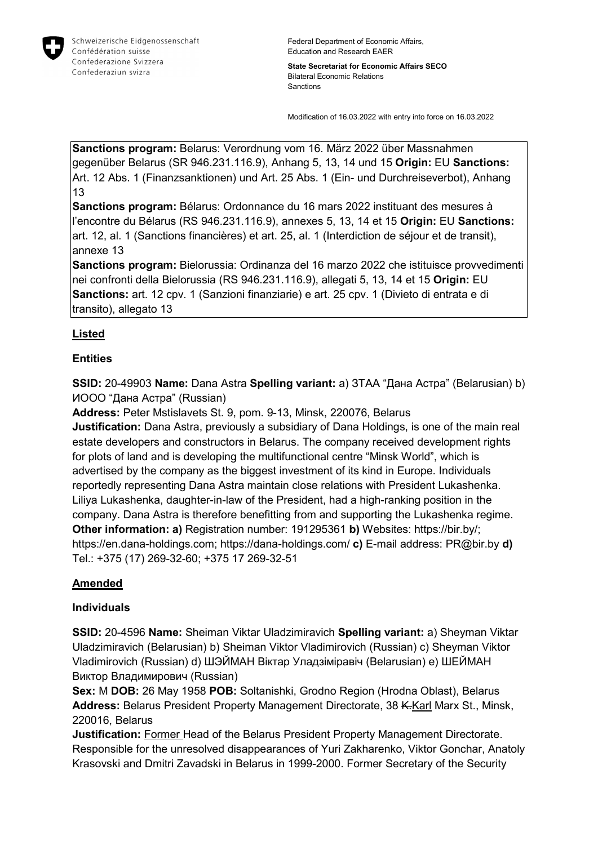

**State Secretariat for Economic Affairs SECO** Bilateral Economic Relations Sanctions

Modification of 16.03.2022 with entry into force on 16.03.2022

**Sanctions program:** Belarus: Verordnung vom 16. März 2022 über Massnahmen gegenüber Belarus (SR 946.231.116.9), Anhang 5, 13, 14 und 15 **Origin:** EU **Sanctions:** Art. 12 Abs. 1 (Finanzsanktionen) und Art. 25 Abs. 1 (Ein- und Durchreiseverbot), Anhang 13

**Sanctions program:** Bélarus: Ordonnance du 16 mars 2022 instituant des mesures à l'encontre du Bélarus (RS 946.231.116.9), annexes 5, 13, 14 et 15 **Origin:** EU **Sanctions:** art. 12, al. 1 (Sanctions financières) et art. 25, al. 1 (Interdiction de séjour et de transit), annexe 13

**Sanctions program:** Bielorussia: Ordinanza del 16 marzo 2022 che istituisce provvedimenti nei confronti della Bielorussia (RS 946.231.116.9), allegati 5, 13, 14 et 15 **Origin:** EU **Sanctions:** art. 12 cpv. 1 (Sanzioni finanziarie) e art. 25 cpv. 1 (Divieto di entrata e di transito), allegato 13

#### **Listed**

#### **Entities**

**SSID:** 20-49903 **Name:** Dana Astra **Spelling variant:** a) ЗТАА "Дана Астра" (Belarusian) b) ИООО "Дана Астра" (Russian)

**Address:** Peter Mstislavets St. 9, pom. 9-13, Minsk, 220076, Belarus

**Justification:** Dana Astra, previously a subsidiary of Dana Holdings, is one of the main real estate developers and constructors in Belarus. The company received development rights for plots of land and is developing the multifunctional centre "Minsk World", which is advertised by the company as the biggest investment of its kind in Europe. Individuals reportedly representing Dana Astra maintain close relations with President Lukashenka. Liliya Lukashenka, daughter-in-law of the President, had a high-ranking position in the company. Dana Astra is therefore benefitting from and supporting the Lukashenka regime. **Other information: a)** Registration number: 191295361 **b)** Websites: https://bir.by/; https://en.dana-holdings.com; https://dana-holdings.com/ **c)** E-mail address: PR@bir.by **d)**  Tel.: +375 (17) 269-32-60; +375 17 269-32-51

#### **Amended**

#### **Individuals**

**SSID:** 20-4596 **Name:** Sheiman Viktar Uladzimiravich **Spelling variant:** a) Sheyman Viktar Uladzimiravich (Belarusian) b) Sheiman Viktor Vladimirovich (Russian) c) Sheyman Viktor Vladimirovich (Russian) d) ШЭЙМАН Віктар Уладзіміравіч (Belarusian) e) ШЕЙМАН Виктор Владимирович (Russian)

**Sex:** M **DOB:** 26 May 1958 **POB:** Soltanishki, Grodno Region (Hrodna Oblast), Belarus Address: Belarus President Property Management Directorate, 38 K.Karl Marx St., Minsk, 220016, Belarus

**Justification:** Former Head of the Belarus President Property Management Directorate. Responsible for the unresolved disappearances of Yuri Zakharenko, Viktor Gonchar, Anatoly Krasovski and Dmitri Zavadski in Belarus in 1999-2000. Former Secretary of the Security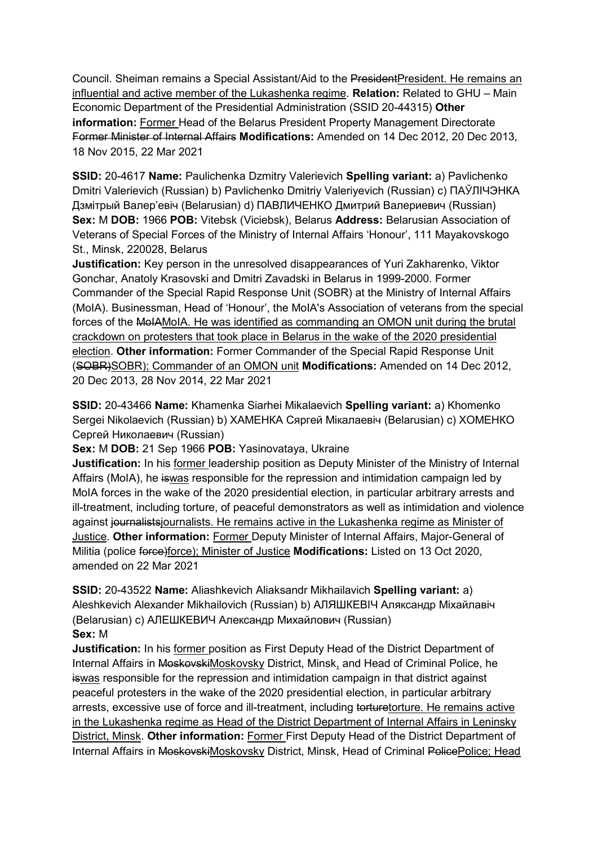Council. Sheiman remains a Special Assistant/Aid to the PresidentPresident. He remains an influential and active member of the Lukashenka regime. **Relation:** Related to GHU – Main Economic Department of the Presidential Administration (SSID 20-44315) **Other information:** Former Head of the Belarus President Property Management Directorate Former Minister of Internal Affairs **Modifications:** Amended on 14 Dec 2012, 20 Dec 2013, 18 Nov 2015, 22 Mar 2021

**SSID:** 20-4617 **Name:** Paulichenka Dzmitry Valerievich **Spelling variant:** a) Pavlichenko Dmitri Valerievich (Russian) b) Pavlichenko Dmitriy Valeriyevich (Russian) c) ПАЎЛIЧЭНКА Дзмiтрый Валер'евіч (Belarusian) d) ПАВЛИЧЕНКО Дмитрий Валериевич (Russian) **Sex:** M **DOB:** 1966 **POB:** Vitebsk (Viciebsk), Belarus **Address:** Belarusian Association of Veterans of Special Forces of the Ministry of Internal Affairs 'Honour', 111 Mayakovskogo St., Minsk, 220028, Belarus

**Justification:** Key person in the unresolved disappearances of Yuri Zakharenko, Viktor Gonchar, Anatoly Krasovski and Dmitri Zavadski in Belarus in 1999-2000. Former Commander of the Special Rapid Response Unit (SOBR) at the Ministry of Internal Affairs (MoIA). Businessman, Head of 'Honour', the MoIA's Association of veterans from the special forces of the MoIAMoIA. He was identified as commanding an OMON unit during the brutal crackdown on protesters that took place in Belarus in the wake of the 2020 presidential election. **Other information:** Former Commander of the Special Rapid Response Unit (SOBR)SOBR); Commander of an OMON unit **Modifications:** Amended on 14 Dec 2012, 20 Dec 2013, 28 Nov 2014, 22 Mar 2021

**SSID:** 20-43466 **Name:** Khamenka Siarhei Mikalaevich **Spelling variant:** a) Khomenko Sergei Nikolaevich (Russian) b) ХАМЕНКА Сяргей Мiкалаевiч (Belarusian) c) ХОМЕНКО Сергей Николаевич (Russian)

**Sex:** M **DOB:** 21 Sep 1966 **POB:** Yasinovataya, Ukraine

**Justification:** In his former leadership position as Deputy Minister of the Ministry of Internal Affairs (MoIA), he iswas responsible for the repression and intimidation campaign led by MoIA forces in the wake of the 2020 presidential election, in particular arbitrary arrests and ill-treatment, including torture, of peaceful demonstrators as well as intimidation and violence against journalists journalists. He remains active in the Lukashenka regime as Minister of Justice. **Other information:** Former Deputy Minister of Internal Affairs, Major-General of Militia (police force)force); Minister of Justice **Modifications:** Listed on 13 Oct 2020, amended on 22 Mar 2021

**SSID:** 20-43522 **Name:** Aliashkevich Aliaksandr Mikhailavich **Spelling variant:** a) Aleshkevich Alexander Mikhailovich (Russian) b) АЛЯШКЕВIЧ Аляксандр Мiхайлавiч (Belarusian) c) АЛЕШКЕВИЧ Александр Михайлович (Russian) **Sex:** M

**Justification:** In his former position as First Deputy Head of the District Department of Internal Affairs in MoskovskiMoskovsky District, Minsk, and Head of Criminal Police, he iswas responsible for the repression and intimidation campaign in that district against peaceful protesters in the wake of the 2020 presidential election, in particular arbitrary arrests, excessive use of force and ill-treatment, including torturetorture. He remains active in the Lukashenka regime as Head of the District Department of Internal Affairs in Leninsky District, Minsk. **Other information:** Former First Deputy Head of the District Department of Internal Affairs in MoskovskiMoskovsky District, Minsk, Head of Criminal PolicePolice; Head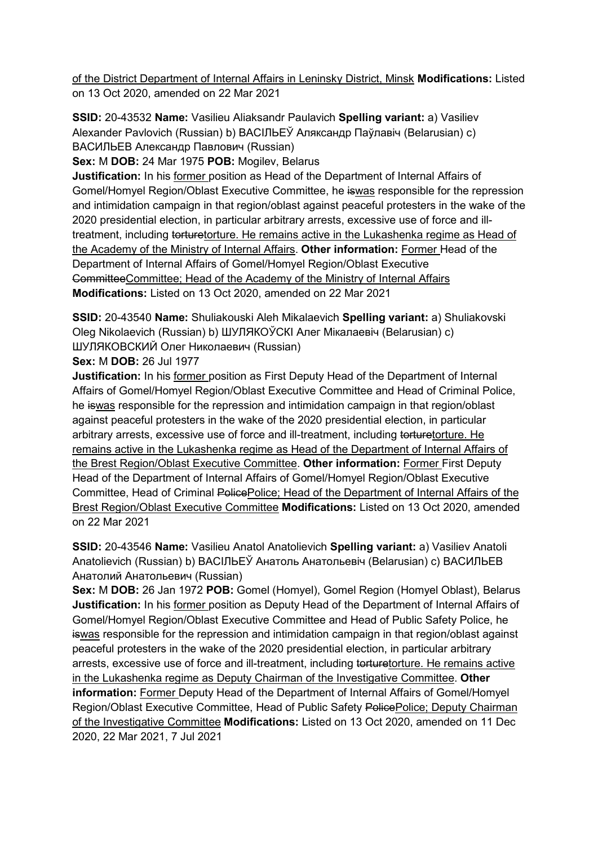of the District Department of Internal Affairs in Leninsky District, Minsk **Modifications:** Listed on 13 Oct 2020, amended on 22 Mar 2021

**SSID:** 20-43532 **Name:** Vasilieu Aliaksandr Paulavich **Spelling variant:** a) Vasiliev Alexander Pavlovich (Russian) b) ВАСIЛЬЕЎ Аляксандр Паўлавiч (Belarusian) c) ВАСИЛЬЕВ Александр Павлович (Russian)

**Sex:** M **DOB:** 24 Mar 1975 **POB:** Mogilev, Belarus

**Justification:** In his former position as Head of the Department of Internal Affairs of Gomel/Homyel Region/Oblast Executive Committee, he iswas responsible for the repression and intimidation campaign in that region/oblast against peaceful protesters in the wake of the 2020 presidential election, in particular arbitrary arrests, excessive use of force and illtreatment, including torturetorture. He remains active in the Lukashenka regime as Head of the Academy of the Ministry of Internal Affairs. **Other information:** Former Head of the Department of Internal Affairs of Gomel/Homyel Region/Oblast Executive CommitteeCommittee; Head of the Academy of the Ministry of Internal Affairs **Modifications:** Listed on 13 Oct 2020, amended on 22 Mar 2021

**SSID:** 20-43540 **Name:** Shuliakouski Aleh Mikalaevich **Spelling variant:** a) Shuliakovski Oleg Nikolaevich (Russian) b) ШУЛЯКОЎСКI Алег Мiкалаевiч (Belarusian) c) ШУЛЯКОВСКИЙ Олег Николаевич (Russian)

**Sex:** M **DOB:** 26 Jul 1977

**Justification:** In his former position as First Deputy Head of the Department of Internal Affairs of Gomel/Homyel Region/Oblast Executive Committee and Head of Criminal Police, he iswas responsible for the repression and intimidation campaign in that region/oblast against peaceful protesters in the wake of the 2020 presidential election, in particular arbitrary arrests, excessive use of force and ill-treatment, including torturetorture. He remains active in the Lukashenka regime as Head of the Department of Internal Affairs of the Brest Region/Oblast Executive Committee. **Other information:** Former First Deputy Head of the Department of Internal Affairs of Gomel/Homyel Region/Oblast Executive Committee, Head of Criminal PolicePolice: Head of the Department of Internal Affairs of the Brest Region/Oblast Executive Committee **Modifications:** Listed on 13 Oct 2020, amended on 22 Mar 2021

**SSID:** 20-43546 **Name:** Vasilieu Anatol Anatolievich **Spelling variant:** a) Vasiliev Anatoli Anatolievich (Russian) b) ВАСIЛЬЕЎ Анатоль Анатольевiч (Belarusian) c) ВАСИЛЬЕВ Анатолий Анатольевич (Russian)

**Sex:** M **DOB:** 26 Jan 1972 **POB:** Gomel (Homyel), Gomel Region (Homyel Oblast), Belarus **Justification:** In his former position as Deputy Head of the Department of Internal Affairs of Gomel/Homyel Region/Oblast Executive Committee and Head of Public Safety Police, he iswas responsible for the repression and intimidation campaign in that region/oblast against peaceful protesters in the wake of the 2020 presidential election, in particular arbitrary arrests, excessive use of force and ill-treatment, including torturetorture. He remains active in the Lukashenka regime as Deputy Chairman of the Investigative Committee. **Other information:** Former Deputy Head of the Department of Internal Affairs of Gomel/Homyel Region/Oblast Executive Committee, Head of Public Safety PolicePolice; Deputy Chairman of the Investigative Committee **Modifications:** Listed on 13 Oct 2020, amended on 11 Dec 2020, 22 Mar 2021, 7 Jul 2021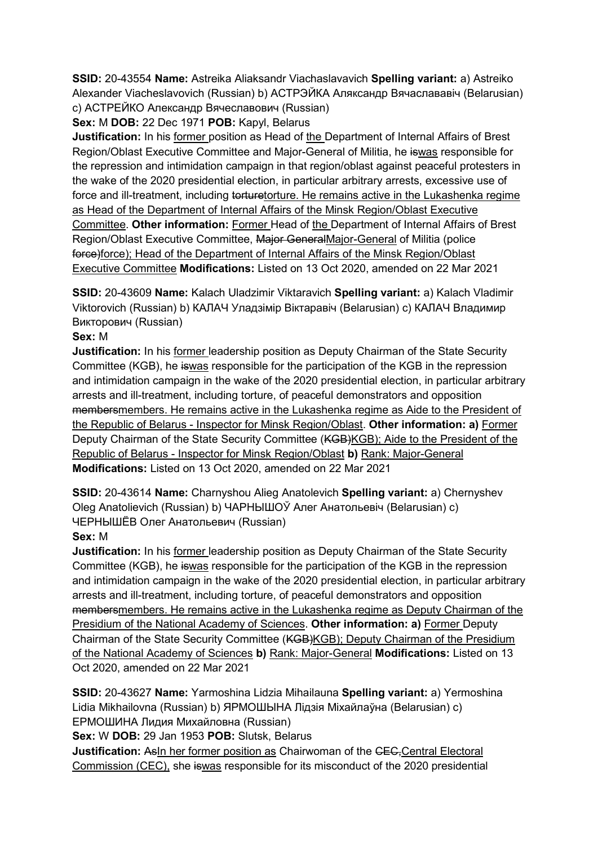**SSID:** 20-43554 **Name:** Astreika Aliaksandr Viachaslavavich **Spelling variant:** a) Astreiko Alexander Viacheslavovich (Russian) b) АСТРЭЙКА Аляксандр Вячаслававiч (Belarusian) c) АСТРЕЙКО Александр Вячеславович (Russian)

# **Sex:** M **DOB:** 22 Dec 1971 **POB:** Kapyl, Belarus

**Justification:** In his former position as Head of the Department of Internal Affairs of Brest Region/Oblast Executive Committee and Major-General of Militia, he iswas responsible for the repression and intimidation campaign in that region/oblast against peaceful protesters in the wake of the 2020 presidential election, in particular arbitrary arrests, excessive use of force and ill-treatment, including torturetorture. He remains active in the Lukashenka regime as Head of the Department of Internal Affairs of the Minsk Region/Oblast Executive Committee. **Other information:** Former Head of the Department of Internal Affairs of Brest Region/Oblast Executive Committee, Major GeneralMajor-General of Militia (police force)force); Head of the Department of Internal Affairs of the Minsk Region/Oblast Executive Committee **Modifications:** Listed on 13 Oct 2020, amended on 22 Mar 2021

**SSID:** 20-43609 **Name:** Kalach Uladzimir Viktaravich **Spelling variant:** a) Kalach Vladimir Viktorovich (Russian) b) КАЛАЧ Уладзiмiр Вiктаравiч (Belarusian) c) КАЛАЧ Владимир Викторович (Russian)

## **Sex:** M

**Justification:** In his former leadership position as Deputy Chairman of the State Security Committee (KGB), he iswas responsible for the participation of the KGB in the repression and intimidation campaign in the wake of the 2020 presidential election, in particular arbitrary arrests and ill-treatment, including torture, of peaceful demonstrators and opposition membersmembers. He remains active in the Lukashenka regime as Aide to the President of the Republic of Belarus - Inspector for Minsk Region/Oblast. **Other information: a)** Former Deputy Chairman of the State Security Committee (KGB)KGB); Aide to the President of the Republic of Belarus - Inspector for Minsk Region/Oblast **b)** Rank: Major-General **Modifications:** Listed on 13 Oct 2020, amended on 22 Mar 2021

**SSID:** 20-43614 **Name:** Charnyshou Alieg Anatolevich **Spelling variant:** a) Chernyshev Oleg Anatolievich (Russian) b) ЧАРНЫШОЎ Алег Анатольевiч (Belarusian) c) ЧЕРНЫШЁВ Олег Анатольевич (Russian)

# **Sex:** M

**Justification:** In his former leadership position as Deputy Chairman of the State Security Committee (KGB), he iswas responsible for the participation of the KGB in the repression and intimidation campaign in the wake of the 2020 presidential election, in particular arbitrary arrests and ill-treatment, including torture, of peaceful demonstrators and opposition membersmembers. He remains active in the Lukashenka regime as Deputy Chairman of the Presidium of the National Academy of Sciences. **Other information: a)** Former Deputy Chairman of the State Security Committee (KGB)KGB); Deputy Chairman of the Presidium of the National Academy of Sciences **b)** Rank: Major-General **Modifications:** Listed on 13 Oct 2020, amended on 22 Mar 2021

**SSID:** 20-43627 **Name:** Yarmoshina Lidzia Mihailauna **Spelling variant:** a) Yermoshina Lidia Mikhailovna (Russian) b) ЯРМОШЫНА Лiдзiя Мiхайлаўна (Belarusian) c) ЕРМОШИНА Лидия Михайловна (Russian)

**Sex:** W **DOB:** 29 Jan 1953 **POB:** Slutsk, Belarus

**Justification:** AsIn her former position as Chairwoman of the CEC, Central Electoral Commission (CEC), she iswas responsible for its misconduct of the 2020 presidential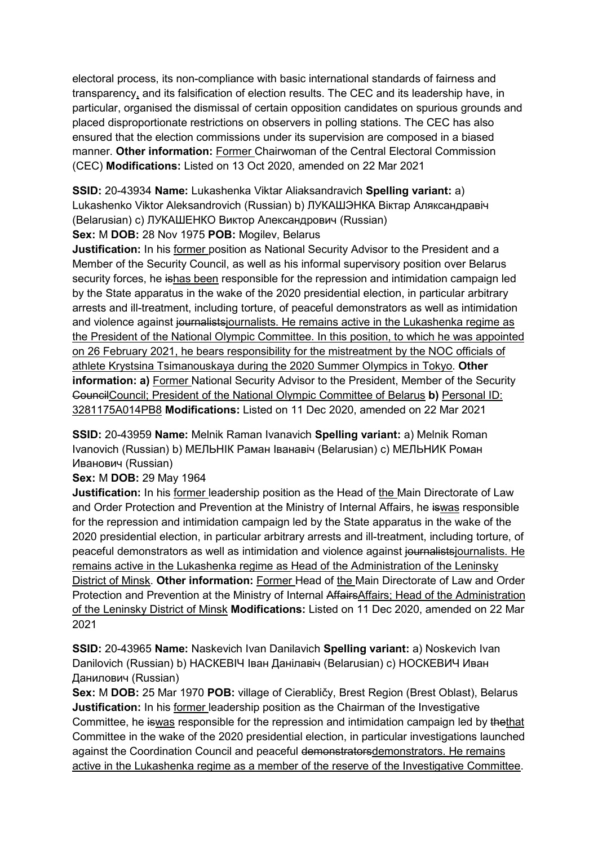electoral process, its non-compliance with basic international standards of fairness and transparency, and its falsification of election results. The CEC and its leadership have, in particular, organised the dismissal of certain opposition candidates on spurious grounds and placed disproportionate restrictions on observers in polling stations. The CEC has also ensured that the election commissions under its supervision are composed in a biased manner. **Other information:** Former Chairwoman of the Central Electoral Commission (CEC) **Modifications:** Listed on 13 Oct 2020, amended on 22 Mar 2021

**SSID:** 20-43934 **Name:** Lukashenka Viktar Aliaksandravich **Spelling variant:** a) Lukashenko Viktor Aleksandrovich (Russian) b) ЛУКАШЭНКА Вiктар Аляксандравiч (Belarusian) c) ЛУКАШЕНКО Виктор Александрович (Russian)

**Sex:** M **DOB:** 28 Nov 1975 **POB:** Mogilev, Belarus

**Justification:** In his former position as National Security Advisor to the President and a Member of the Security Council, as well as his informal supervisory position over Belarus security forces, he ishas been responsible for the repression and intimidation campaign led by the State apparatus in the wake of the 2020 presidential election, in particular arbitrary arrests and ill-treatment, including torture, of peaceful demonstrators as well as intimidation and violence against journalists journalists. He remains active in the Lukashenka regime as the President of the National Olympic Committee. In this position, to which he was appointed on 26 February 2021, he bears responsibility for the mistreatment by the NOC officials of athlete Krystsina Tsimanouskaya during the 2020 Summer Olympics in Tokyo. **Other information: a)** Former National Security Advisor to the President, Member of the Security Council; President of the National Olympic Committee of Belarus **b**) Personal ID: 3281175A014PB8 **Modifications:** Listed on 11 Dec 2020, amended on 22 Mar 2021

**SSID:** 20-43959 **Name:** Melnik Raman Ivanavich **Spelling variant:** a) Melnik Roman Ivanovich (Russian) b) МЕЛЬНIК Раман Iванавiч (Belarusian) c) МЕЛЬНИК Роман Иванович (Russian)

**Sex:** M **DOB:** 29 May 1964

**Justification:** In his former leadership position as the Head of the Main Directorate of Law and Order Protection and Prevention at the Ministry of Internal Affairs, he iswas responsible for the repression and intimidation campaign led by the State apparatus in the wake of the 2020 presidential election, in particular arbitrary arrests and ill-treatment, including torture, of peaceful demonstrators as well as intimidation and violence against journalistsjournalists. He remains active in the Lukashenka regime as Head of the Administration of the Leninsky District of Minsk. **Other information:** Former Head of the Main Directorate of Law and Order Protection and Prevention at the Ministry of Internal AffairsAffairs; Head of the Administration of the Leninsky District of Minsk **Modifications:** Listed on 11 Dec 2020, amended on 22 Mar 2021

**SSID:** 20-43965 **Name:** Naskevich Ivan Danilavich **Spelling variant:** a) Noskevich Ivan Danilovich (Russian) b) НАСКЕВIЧ Iван Данiлавiч (Belarusian) c) НОСКЕВИЧ Иван Данилович (Russian)

**Sex:** M **DOB:** 25 Mar 1970 **POB:** village of Cierabličy, Brest Region (Brest Oblast), Belarus **Justification:** In his former leadership position as the Chairman of the Investigative Committee, he iswas responsible for the repression and intimidation campaign led by thethat Committee in the wake of the 2020 presidential election, in particular investigations launched against the Coordination Council and peaceful demonstratorsdemonstrators. He remains active in the Lukashenka regime as a member of the reserve of the Investigative Committee.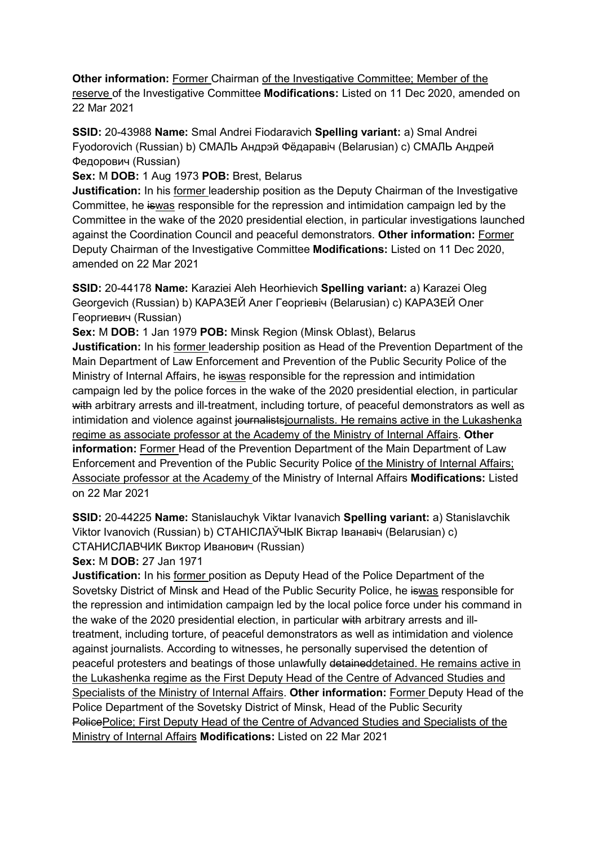**Other information:** Former Chairman of the Investigative Committee; Member of the reserve of the Investigative Committee **Modifications:** Listed on 11 Dec 2020, amended on 22 Mar 2021

**SSID:** 20-43988 **Name:** Smal Andrei Fiodaravich **Spelling variant:** a) Smal Andrei Fyodorovich (Russian) b) СМАЛЬ Андрэй Фёдаравiч (Belarusian) c) СМАЛЬ Андрей Федорович (Russian)

**Sex:** M **DOB:** 1 Aug 1973 **POB:** Brest, Belarus

**Justification:** In his former leadership position as the Deputy Chairman of the Investigative Committee, he iswas responsible for the repression and intimidation campaign led by the Committee in the wake of the 2020 presidential election, in particular investigations launched against the Coordination Council and peaceful demonstrators. **Other information:** Former Deputy Chairman of the Investigative Committee **Modifications:** Listed on 11 Dec 2020, amended on 22 Mar 2021

**SSID:** 20-44178 **Name:** Karaziei Aleh Heorhievich **Spelling variant:** a) Karazei Oleg Georgevich (Russian) b) КАРАЗЕЙ Алег Георгiевiч (Belarusian) c) КАРАЗЕЙ Олег Георгиевич (Russian)

**Sex:** M **DOB:** 1 Jan 1979 **POB:** Minsk Region (Minsk Oblast), Belarus

**Justification:** In his former leadership position as Head of the Prevention Department of the Main Department of Law Enforcement and Prevention of the Public Security Police of the Ministry of Internal Affairs, he iswas responsible for the repression and intimidation campaign led by the police forces in the wake of the 2020 presidential election, in particular with arbitrary arrests and ill-treatment, including torture, of peaceful demonstrators as well as intimidation and violence against journalistsiournalists. He remains active in the Lukashenka regime as associate professor at the Academy of the Ministry of Internal Affairs. **Other information:** Former Head of the Prevention Department of the Main Department of Law Enforcement and Prevention of the Public Security Police of the Ministry of Internal Affairs; Associate professor at the Academy of the Ministry of Internal Affairs **Modifications:** Listed on 22 Mar 2021

**SSID:** 20-44225 **Name:** Stanislauchyk Viktar Ivanavich **Spelling variant:** a) Stanislavchik Viktor Ivanovich (Russian) b) СТАНIСЛАЎЧЫК Вiктар Iванавiч (Belarusian) c) СТАНИСЛАВЧИК Виктор Иванович (Russian)

**Sex:** M **DOB:** 27 Jan 1971

**Justification:** In his former position as Deputy Head of the Police Department of the Sovetsky District of Minsk and Head of the Public Security Police, he iswas responsible for the repression and intimidation campaign led by the local police force under his command in the wake of the 2020 presidential election, in particular with arbitrary arrests and illtreatment, including torture, of peaceful demonstrators as well as intimidation and violence against journalists. According to witnesses, he personally supervised the detention of peaceful protesters and beatings of those unlawfully detaineddetained. He remains active in the Lukashenka regime as the First Deputy Head of the Centre of Advanced Studies and Specialists of the Ministry of Internal Affairs. **Other information:** Former Deputy Head of the Police Department of the Sovetsky District of Minsk, Head of the Public Security PolicePolice; First Deputy Head of the Centre of Advanced Studies and Specialists of the Ministry of Internal Affairs **Modifications:** Listed on 22 Mar 2021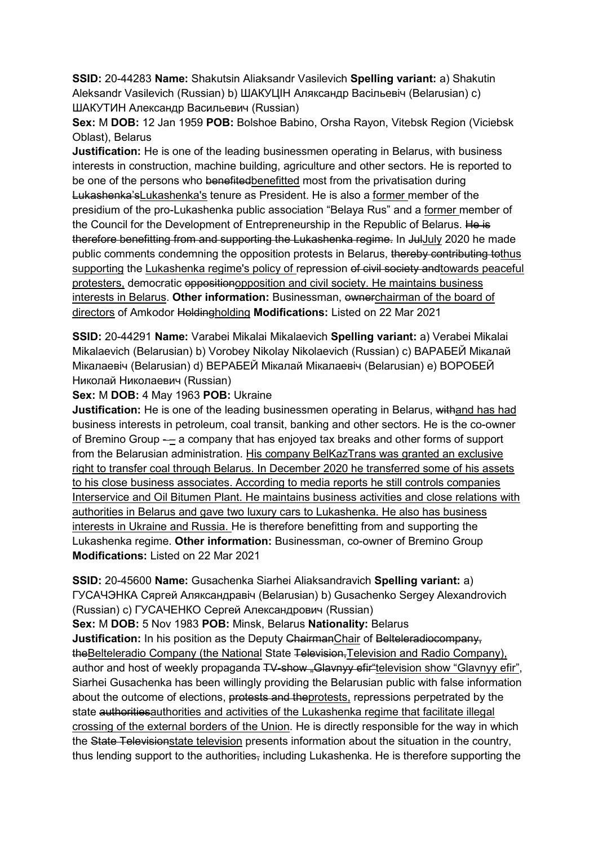**SSID:** 20-44283 **Name:** Shakutsin Aliaksandr Vasilevich **Spelling variant:** a) Shakutin Aleksandr Vasilevich (Russian) b) ШАКУЦIН Аляксандр Васiльевiч (Belarusian) c) ШАКУТИН Александр Васильевич (Russian)

**Sex:** M **DOB:** 12 Jan 1959 **POB:** Bolshoe Babino, Orsha Rayon, Vitebsk Region (Viciebsk Oblast), Belarus

**Justification:** He is one of the leading businessmen operating in Belarus, with business interests in construction, machine building, agriculture and other sectors. He is reported to be one of the persons who benefitedbenefitted most from the privatisation during Lukashenka'sLukashenka's tenure as President. He is also a former member of the presidium of the pro-Lukashenka public association "Belaya Rus" and a former member of the Council for the Development of Entrepreneurship in the Republic of Belarus. He is therefore benefitting from and supporting the Lukashenka regime. In JulJuly 2020 he made public comments condemning the opposition protests in Belarus, thereby contributing tothus supporting the Lukashenka regime's policy of repression of civil society andtowards peaceful protesters, democratic oppositionopposition and civil society. He maintains business interests in Belarus. Other information: Businessman, ownerchairman of the board of directors of Amkodor Holdingholding **Modifications:** Listed on 22 Mar 2021

**SSID:** 20-44291 **Name:** Varabei Mikalai Mikalaevich **Spelling variant:** a) Verabei Mikalai Mikalaevich (Belarusian) b) Vorobey Nikolay Nikolaevich (Russian) c) ВАРАБЕЙ Мiкалай Мiкалаевiч (Belarusian) d) ВЕРАБЕЙ Мiкалай Мiкалаевiч (Belarusian) e) ВОРОБЕЙ Николай Николаевич (Russian)

**Sex:** M **DOB:** 4 May 1963 **POB:** Ukraine

**Justification:** He is one of the leading businessmen operating in Belarus, withand has had business interests in petroleum, coal transit, banking and other sectors. He is the co-owner of Bremino Group  $-$  a company that has enjoyed tax breaks and other forms of support from the Belarusian administration. His company BelKazTrans was granted an exclusive right to transfer coal through Belarus. In December 2020 he transferred some of his assets to his close business associates. According to media reports he still controls companies Interservice and Oil Bitumen Plant. He maintains business activities and close relations with authorities in Belarus and gave two luxury cars to Lukashenka. He also has business interests in Ukraine and Russia. He is therefore benefitting from and supporting the Lukashenka regime. **Other information:** Businessman, co-owner of Bremino Group **Modifications:** Listed on 22 Mar 2021

**SSID:** 20-45600 **Name:** Gusachenka Siarhei Aliaksandravich **Spelling variant:** a) ГУСАЧЭНКА Сяргей Аляксандравiч (Belarusian) b) Gusachenko Sergey Alexandrovich (Russian) c) ГУСАЧЕНКО Сергей Александрович (Russian)

**Sex:** M **DOB:** 5 Nov 1983 **POB:** Minsk, Belarus **Nationality:** Belarus **Justification:** In his position as the Deputy ChairmanChair of Belteleradiocompany, theBelteleradio Company (the National State Television, Television and Radio Company), author and host of weekly propaganda TV-show "Glavnyy efir"television show "Glavnyy efir", Siarhei Gusachenka has been willingly providing the Belarusian public with false information about the outcome of elections, protests and theprotests, repressions perpetrated by the state authorities authorities and activities of the Lukashenka regime that facilitate illegal crossing of the external borders of the Union. He is directly responsible for the way in which the State Televisionstate television presents information about the situation in the country, thus lending support to the authorities, including Lukashenka. He is therefore supporting the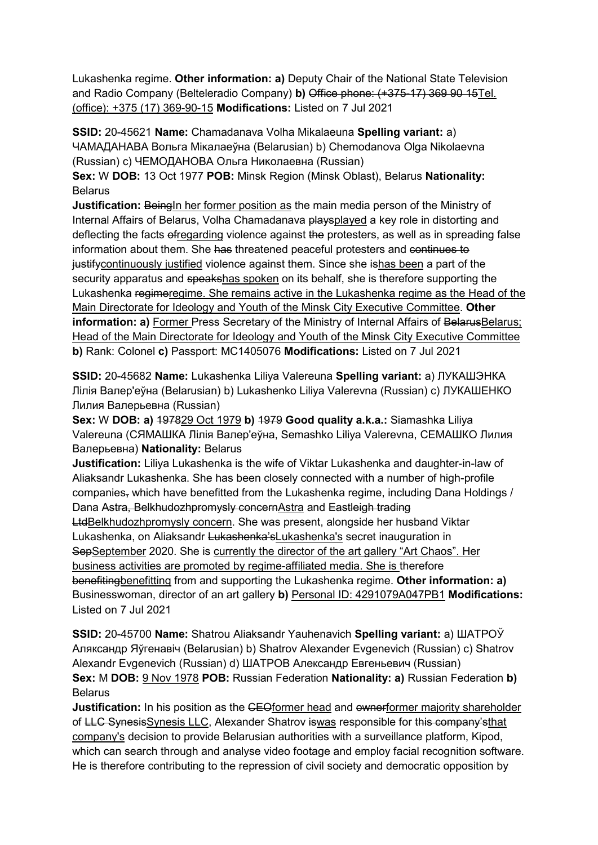Lukashenka regime. **Other information: a)** Deputy Chair of the National State Television and Radio Company (Belteleradio Company) **b)** Office phone: (+375-17) 369 90 15Tel. (office): +375 (17) 369-90-15 **Modifications:** Listed on 7 Jul 2021

**SSID:** 20-45621 **Name:** Chamadanava Volha Mikalaeuna **Spelling variant:** a) ЧАМАДАНАВА Вольга Мiĸалаеўна (Belarusian) b) Chemodanova Olga Nikolaevna (Russian) c) ЧЕМОДАНОВА Ольга Ниĸолаевна (Russian)

**Sex:** W **DOB:** 13 Oct 1977 **POB:** Minsk Region (Minsk Oblast), Belarus **Nationality: Belarus** 

**Justification: Beingln her former position as the main media person of the Ministry of** Internal Affairs of Belarus, Volha Chamadanava playsplayed a key role in distorting and deflecting the facts of regarding violence against the protesters, as well as in spreading false information about them. She has threatened peaceful protesters and continues to justify continuously justified violence against them. Since she ishas been a part of the security apparatus and speakshas spoken on its behalf, she is therefore supporting the Lukashenka regimeregime. She remains active in the Lukashenka regime as the Head of the Main Directorate for Ideology and Youth of the Minsk City Executive Committee. **Other information: a)** Former Press Secretary of the Ministry of Internal Affairs of BelarusBelarus; Head of the Main Directorate for Ideology and Youth of the Minsk City Executive Committee **b)** Rank: Colonel **c)** Passport: MC1405076 **Modifications:** Listed on 7 Jul 2021

**SSID:** 20-45682 **Name:** Lukashenka Liliya Valereuna **Spelling variant:** a) ЛУКАШЭНКА Лiлiя Валер'еўна (Belarusian) b) Lukashenko Liliya Valerevna (Russian) c) ЛУКАШЕНКО Лилия Валерьевна (Russian)

**Sex:** W **DOB: a)** 197829 Oct 1979 **b)** 1979 **Good quality a.k.a.:** Siamashka Liliya Valereuna (СЯМАШКА Лiлiя Валер'еўна, Semashko Liliya Valerevna, СЕМАШКО Лилия Валерьевна) **Nationality:** Belarus

**Justification:** Liliya Lukashenka is the wife of Viktar Lukashenka and daughter-in-law of Aliaksandr Lukashenka. She has been closely connected with a number of high-profile companies, which have benefitted from the Lukashenka regime, including Dana Holdings / Dana Astra, Belkhudozhpromysly concernAstra and Eastleigh trading LtdBelkhudozhpromysly concern. She was present, alongside her husband Viktar Lukashenka, on Aliaksandr Lukashenka'sLukashenka's secret inauguration in SepSeptember 2020. She is currently the director of the art gallery "Art Chaos". Her business activities are promoted by regime-affiliated media. She is therefore benefitingbenefitting from and supporting the Lukashenka regime. **Other information: a)**  Businesswoman, director of an art gallery **b)** Personal ID: 4291079A047PB1 **Modifications:**  Listed on 7 Jul 2021

**SSID:** 20-45700 **Name:** Shatrou Aliaksandr Yauhenavich **Spelling variant:** a) ШАТРОЎ Аляксандр Яўгенавiч (Belarusian) b) Shatrov Alexander Evgenevich (Russian) c) Shatrov Alexandr Evgenevich (Russian) d) ШАТРОВ Александр Евгеньевич (Russian) **Sex:** M **DOB:** 9 Nov 1978 **POB:** Russian Federation **Nationality: a)** Russian Federation **b)**  Belarus

**Justification:** In his position as the CEOformer head and ownerformer majority shareholder of LLC SynesisSynesis LLC, Alexander Shatrov iswas responsible for this company'sthat company's decision to provide Belarusian authorities with a surveillance platform, Kipod, which can search through and analyse video footage and employ facial recognition software. He is therefore contributing to the repression of civil society and democratic opposition by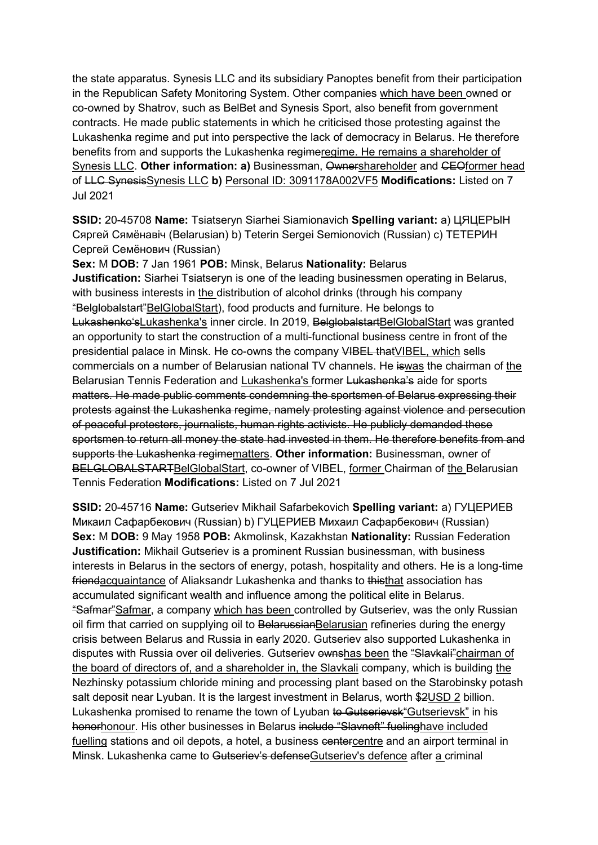the state apparatus. Synesis LLC and its subsidiary Panoptes benefit from their participation in the Republican Safety Monitoring System. Other companies which have been owned or co-owned by Shatrov, such as BelBet and Synesis Sport, also benefit from government contracts. He made public statements in which he criticised those protesting against the Lukashenka regime and put into perspective the lack of democracy in Belarus. He therefore benefits from and supports the Lukashenka regimeregime. He remains a shareholder of Synesis LLC. Other information: a) Businessman, Ownershareholder and CEOformer head of LLC SynesisSynesis LLC **b)** Personal ID: 3091178A002VF5 **Modifications:** Listed on 7 Jul 2021

**SSID:** 20-45708 **Name:** Tsiatseryn Siarhei Siamionavich **Spelling variant:** a) ЦЯЦЕРЫН Сяргей Сямёнавiч (Belarusian) b) Teterin Sergei Semionovich (Russian) c) ТЕТЕРИН Сергей Семёнович (Russian)

**Sex:** M **DOB:** 7 Jan 1961 **POB:** Minsk, Belarus **Nationality:** Belarus **Justification:** Siarhei Tsiatseryn is one of the leading businessmen operating in Belarus, with business interests in the distribution of alcohol drinks (through his company "Belglobalstart"BelGlobalStart), food products and furniture. He belongs to Lukashenko'sLukashenka's inner circle. In 2019, BelglobalstartBelGlobalStart was granted an opportunity to start the construction of a multi-functional business centre in front of the presidential palace in Minsk. He co-owns the company VIBEL thatVIBEL, which sells commercials on a number of Belarusian national TV channels. He iswas the chairman of the Belarusian Tennis Federation and Lukashenka's former Lukashenka's aide for sports matters. He made public comments condemning the sportsmen of Belarus expressing their protests against the Lukashenka regime, namely protesting against violence and persecution of peaceful protesters, journalists, human rights activists. He publicly demanded these sportsmen to return all money the state had invested in them. He therefore benefits from and supports the Lukashenka regimematters. **Other information:** Businessman, owner of BELGLOBALSTARTBelGlobalStart, co-owner of VIBEL, former Chairman of the Belarusian Tennis Federation **Modifications:** Listed on 7 Jul 2021

**SSID:** 20-45716 **Name:** Gutseriev Mikhail Safarbekovich **Spelling variant:** a) ГУЦЕРИЕВ Микаил Сафарбекович (Russian) b) ГУЦЕРИЕВ Михаил Сафарбекович (Russian) **Sex:** M **DOB:** 9 May 1958 **POB:** Akmolinsk, Kazakhstan **Nationality:** Russian Federation **Justification:** Mikhail Gutseriev is a prominent Russian businessman, with business interests in Belarus in the sectors of energy, potash, hospitality and others. He is a long-time friendacquaintance of Aliaksandr Lukashenka and thanks to thisthat association has accumulated significant wealth and influence among the political elite in Belarus. "Safmar"Safmar, a company which has been controlled by Gutseriev, was the only Russian oil firm that carried on supplying oil to BelarussianBelarusian refineries during the energy crisis between Belarus and Russia in early 2020. Gutseriev also supported Lukashenka in disputes with Russia over oil deliveries. Gutseriev ownshas been the "Slavkali" chairman of the board of directors of, and a shareholder in, the Slavkali company, which is building the Nezhinsky potassium chloride mining and processing plant based on the Starobinsky potash salt deposit near Lyuban. It is the largest investment in Belarus, worth \$2USD 2 billion. Lukashenka promised to rename the town of Lyuban to Gutserievsk" Gutserievsk" in his honorhonour. His other businesses in Belarus include "Slavneft" fuelinghave included fuelling stations and oil depots, a hotel, a business centercentre and an airport terminal in Minsk. Lukashenka came to Gutseriev's defenseGutseriev's defence after a criminal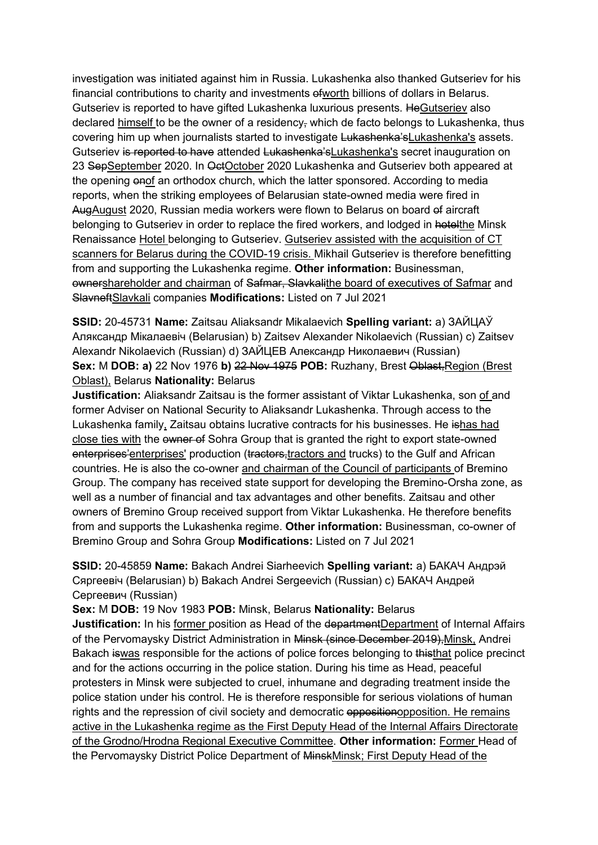investigation was initiated against him in Russia. Lukashenka also thanked Gutseriev for his financial contributions to charity and investments of worth billions of dollars in Belarus. Gutseriev is reported to have gifted Lukashenka luxurious presents. HeGutseriev also declared himself to be the owner of a residency, which de facto belongs to Lukashenka, thus covering him up when journalists started to investigate Lukashenka'sLukashenka's assets. Gutseriev is reported to have attended Lukashenka's Lukashenka's secret inauguration on 23 SepSeptember 2020. In OctOctober 2020 Lukashenka and Gutseriev both appeared at the opening onof an orthodox church, which the latter sponsored. According to media reports, when the striking employees of Belarusian state-owned media were fired in AugAugust 2020, Russian media workers were flown to Belarus on board of aircraft belonging to Gutseriev in order to replace the fired workers, and lodged in hotelthe Minsk Renaissance Hotel belonging to Gutseriev. Gutseriev assisted with the acquisition of CT scanners for Belarus during the COVID-19 crisis. Mikhail Gutseriev is therefore benefitting from and supporting the Lukashenka regime. **Other information:** Businessman, ownershareholder and chairman of Safmar, Slaykalithe board of executives of Safmar and SlavneftSlavkali companies **Modifications:** Listed on 7 Jul 2021

**SSID:** 20-45731 **Name:** Zaitsau Aliaksandr Mikalaevich **Spelling variant:** a) ЗАЙЦАЎ Аляксандр Мiкалаевiч (Belarusian) b) Zaitsev Alexander Nikolaevich (Russian) c) Zaitsev Alexandr Nikolaevich (Russian) d) ЗАЙЦЕВ Александр Николаевич (Russian) Sex: M DOB: a) 22 Nov 1976 b) 22 Nov 1975 POB: Ruzhany, Brest Oblast, Region (Brest Oblast), Belarus **Nationality:** Belarus

**Justification:** Aliaksandr Zaitsau is the former assistant of Viktar Lukashenka, son of and former Adviser on National Security to Aliaksandr Lukashenka. Through access to the Lukashenka family, Zaitsau obtains lucrative contracts for his businesses. He ishas had close ties with the owner of Sohra Group that is granted the right to export state-owned enterprises' enterprises' production (tractors, tractors and trucks) to the Gulf and African countries. He is also the co-owner and chairman of the Council of participants of Bremino Group. The company has received state support for developing the Bremino-Orsha zone, as well as a number of financial and tax advantages and other benefits. Zaitsau and other owners of Bremino Group received support from Viktar Lukashenka. He therefore benefits from and supports the Lukashenka regime. **Other information:** Businessman, co-owner of Bremino Group and Sohra Group **Modifications:** Listed on 7 Jul 2021

**SSID:** 20-45859 **Name:** Bakach Andrei Siarheevich **Spelling variant:** a) БАКАЧ Андрэй Сяргеевiч (Belarusian) b) Bakach Andrei Sergeevich (Russian) c) БАКАЧ Андрей Сергеевич (Russian)

**Sex:** M **DOB:** 19 Nov 1983 **POB:** Minsk, Belarus **Nationality:** Belarus

**Justification:** In his former position as Head of the departmentDepartment of Internal Affairs of the Pervomaysky District Administration in Minsk (since December 2019),Minsk, Andrei Bakach iswas responsible for the actions of police forces belonging to thisthat police precinct and for the actions occurring in the police station. During his time as Head, peaceful protesters in Minsk were subjected to cruel, inhumane and degrading treatment inside the police station under his control. He is therefore responsible for serious violations of human rights and the repression of civil society and democratic oppositionopposition. He remains active in the Lukashenka regime as the First Deputy Head of the Internal Affairs Directorate of the Grodno/Hrodna Regional Executive Committee. **Other information:** Former Head of the Pervomaysky District Police Department of MinskMinsk; First Deputy Head of the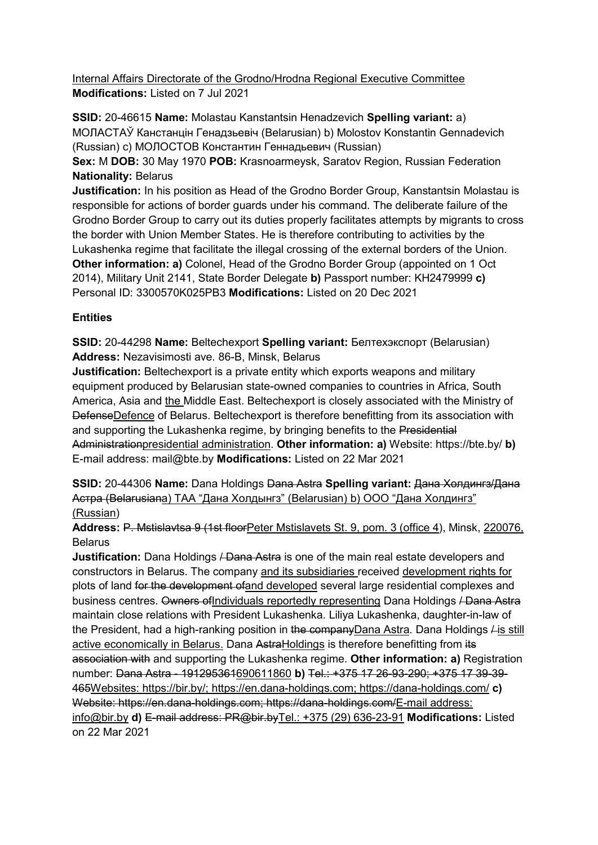Internal Affairs Directorate of the Grodno/Hrodna Regional Executive Committee **Modifications:** Listed on 7 Jul 2021

**SSID:** 20-46615 **Name:** Molastau Kanstantsin Henadzevich **Spelling variant:** a) МОЛАСТАЎ Канстанцiн Генадзьевiч (Belarusian) b) Molostov Konstantin Gennadevich (Russian) c) МОЛОСТОВ Константин Геннадьевич (Russian) **Sex:** M **DOB:** 30 May 1970 **POB:** Krasnoarmeysk, Saratov Region, Russian Federation **Nationality:** Belarus

**Justification:** In his position as Head of the Grodno Border Group, Kanstantsin Molastau is responsible for actions of border guards under his command. The deliberate failure of the Grodno Border Group to carry out its duties properly facilitates attempts by migrants to cross the border with Union Member States. He is therefore contributing to activities by the Lukashenka regime that facilitate the illegal crossing of the external borders of the Union. **Other information: a)** Colonel, Head of the Grodno Border Group (appointed on 1 Oct 2014), Military Unit 2141, State Border Delegate **b)** Passport number: KH2479999 **c)**  Personal ID: 3300570K025PB3 **Modifications:** Listed on 20 Dec 2021

## **Entities**

**SSID:** 20-44298 **Name:** Beltechexport **Spelling variant:** Белтехэкспорт (Belarusian) **Address:** Nezavisimosti ave. 86-B, Minsk, Belarus

**Justification:** Beltechexport is a private entity which exports weapons and military equipment produced by Belarusian state-owned companies to countries in Africa, South America, Asia and the Middle East. Beltechexport is closely associated with the Ministry of DefenseDefence of Belarus. Beltechexport is therefore benefitting from its association with and supporting the Lukashenka regime, by bringing benefits to the Presidential Administrationpresidential administration. **Other information: a)** Website: https://bte.by/ **b)**  E-mail address: mail@bte.by **Modifications:** Listed on 22 Mar 2021

**SSID:** 20-44306 **Name:** Dana Holdings Dana Astra **Spelling variant:** Дана Холдингз/Дана Астра (Belarusiana) ТАА "Дана Холдынгз" (Belarusian) b) ООО "Дана Холдингз" (Russian)

**Address:** P. Mstislavtsa 9 (1st floorPeter Mstislavets St. 9, pom. 3 (office 4), Minsk, 220076, **Belarus** 

**Justification:** Dana Holdings <del>/ Dana Astra</del> is one of the main real estate developers and constructors in Belarus. The company and its subsidiaries received development rights for plots of land for the development of and developed several large residential complexes and business centres. Owners of Individuals reportedly representing Dana Holdings / Dana Astra maintain close relations with President Lukashenka. Liliya Lukashenka, daughter-in-law of the President, had a high-ranking position in the companyDana Astra. Dana Holdings *I* is still active economically in Belarus. Dana AstraHoldings is therefore benefitting from its association with and supporting the Lukashenka regime. **Other information: a)** Registration number: Dana Astra - 191295361690611860 **b)** Tel.: +375 17 26-93-290; +375 17 39-39- 465Websites: https://bir.by/; https://en.dana-holdings.com; https://dana-holdings.com/ **c)**  Website: https://en.dana-holdings.com; https://dana-holdings.com/E-mail address: info@bir.by **d)** E-mail address: PR@bir.byTel.: +375 (29) 636-23-91 **Modifications:** Listed on 22 Mar 2021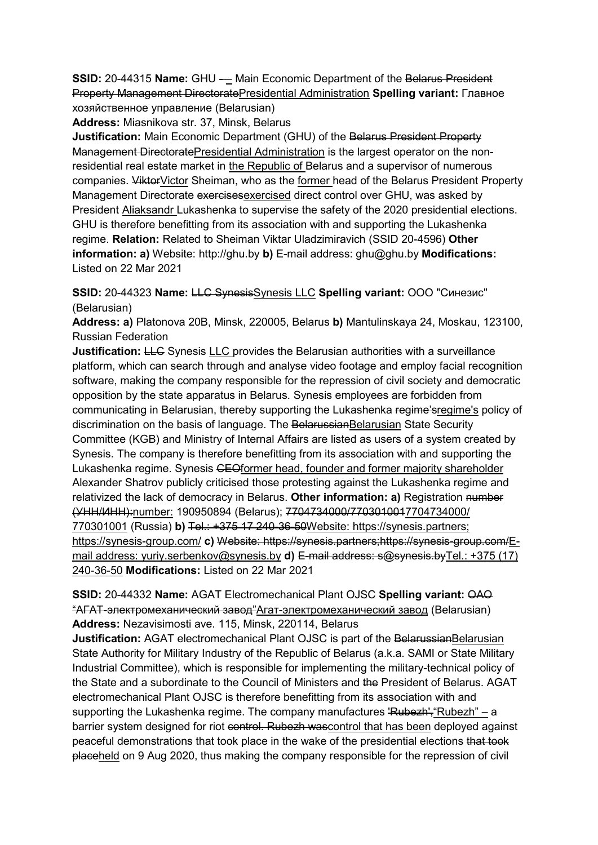**SSID:** 20-44315 Name: GHU - Main Economic Department of the Belarus President Property Management DirectoratePresidential Administration **Spelling variant:** Главное хозяйственное управление (Belarusian)

**Address:** Miasnikova str. 37, Minsk, Belarus

**Justification:** Main Economic Department (GHU) of the Belarus President Property Management DirectoratePresidential Administration is the largest operator on the nonresidential real estate market in the Republic of Belarus and a supervisor of numerous companies. ViktorVictor Sheiman, who as the former head of the Belarus President Property Management Directorate exercisesexercised direct control over GHU, was asked by President Aliaksandr Lukashenka to supervise the safety of the 2020 presidential elections. GHU is therefore benefitting from its association with and supporting the Lukashenka regime. **Relation:** Related to Sheiman Viktar Uladzimiravich (SSID 20-4596) **Other information: a)** Website: http://ghu.by **b)** E-mail address: ghu@ghu.by **Modifications:**  Listed on 22 Mar 2021

**SSID:** 20-44323 **Name:** LLC SynesisSynesis LLC **Spelling variant:** ООО "Синезис" (Belarusian)

**Address: a)** Platonova 20B, Minsk, 220005, Belarus **b)** Mantulinskaya 24, Moskau, 123100, Russian Federation

**Justification: LLC** Synesis LLC provides the Belarusian authorities with a surveillance platform, which can search through and analyse video footage and employ facial recognition software, making the company responsible for the repression of civil society and democratic opposition by the state apparatus in Belarus. Synesis employees are forbidden from communicating in Belarusian, thereby supporting the Lukashenka regime'sregime's policy of discrimination on the basis of language. The BelarussianBelarusian State Security Committee (KGB) and Ministry of Internal Affairs are listed as users of a system created by Synesis. The company is therefore benefitting from its association with and supporting the Lukashenka regime. Synesis GEOformer head, founder and former majority shareholder Alexander Shatrov publicly criticised those protesting against the Lukashenka regime and relativized the lack of democracy in Belarus. **Other information: a)** Registration number (УНН/ИНН):number: 190950894 (Belarus); 7704734000/7703010017704734000/ 770301001 (Russia) **b)** Tel.: +375 17 240-36-50Website: https://synesis.partners; https://synesis-group.com/ **c)** Website: https://synesis.partners;https://synesis-group.com/Email address: yuriy.serbenkov@synesis.by **d)** E-mail address: s@synesis.byTel.: +375 (17) 240-36-50 **Modifications:** Listed on 22 Mar 2021

# **SSID:** 20-44332 **Name:** AGAT Electromechanical Plant OJSC **Spelling variant:** OAO "АГАТ-электромеханический завод"Агат-электромеханический завод (Belarusian) **Address:** Nezavisimosti ave. 115, Minsk, 220114, Belarus

**Justification:** AGAT electromechanical Plant OJSC is part of the BelarussianBelarusian State Authority for Military Industry of the Republic of Belarus (a.k.a. SAMI or State Military Industrial Committee), which is responsible for implementing the military-technical policy of the State and a subordinate to the Council of Ministers and the President of Belarus. AGAT electromechanical Plant OJSC is therefore benefitting from its association with and supporting the Lukashenka regime. The company manufactures 'Rubezh', "Rubezh" – a barrier system designed for riot control. Rubezh was control that has been deployed against peaceful demonstrations that took place in the wake of the presidential elections that took placeheld on 9 Aug 2020, thus making the company responsible for the repression of civil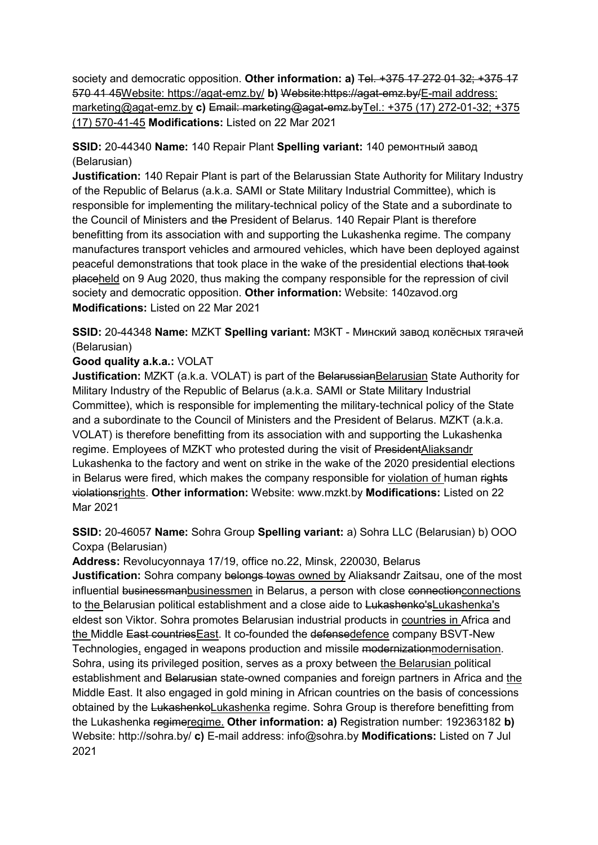society and democratic opposition. Other information: a) Tel. +375 17 272 01 32; +375 17 570 41 45Website: https://agat-emz.by/ **b)** Website:https://agat-emz.by/E-mail address: marketing@agat-emz.by **c)** Email: marketing@agat-emz.byTel.: +375 (17) 272-01-32; +375 (17) 570-41-45 **Modifications:** Listed on 22 Mar 2021

## **SSID:** 20-44340 **Name:** 140 Repair Plant **Spelling variant:** 140 ремонтный завод (Belarusian)

**Justification:** 140 Repair Plant is part of the Belarussian State Authority for Military Industry of the Republic of Belarus (a.k.a. SAMI or State Military Industrial Committee), which is responsible for implementing the military-technical policy of the State and a subordinate to the Council of Ministers and the President of Belarus. 140 Repair Plant is therefore benefitting from its association with and supporting the Lukashenka regime. The company manufactures transport vehicles and armoured vehicles, which have been deployed against peaceful demonstrations that took place in the wake of the presidential elections that took placeheld on 9 Aug 2020, thus making the company responsible for the repression of civil society and democratic opposition. **Other information:** Website: 140zavod.org **Modifications:** Listed on 22 Mar 2021

## **SSID:** 20-44348 **Name:** MZKT **Spelling variant:** МЗКТ - Минский завод колёсных тягачей (Belarusian)

#### **Good quality a.k.a.:** VOLAT

**Justification:** MZKT (a.k.a. VOLAT) is part of the Belarussian Belarusian State Authority for Military Industry of the Republic of Belarus (a.k.a. SAMI or State Military Industrial Committee), which is responsible for implementing the military-technical policy of the State and a subordinate to the Council of Ministers and the President of Belarus. MZKT (a.k.a. VOLAT) is therefore benefitting from its association with and supporting the Lukashenka regime. Employees of MZKT who protested during the visit of PresidentAliaksandr Lukashenka to the factory and went on strike in the wake of the 2020 presidential elections in Belarus were fired, which makes the company responsible for violation of human rights violationsrights. **Other information:** Website: www.mzkt.by **Modifications:** Listed on 22 Mar 2021

## **SSID:** 20-46057 **Name:** Sohra Group **Spelling variant:** a) Sohra LLC (Belarusian) b) ООО Сохра (Belarusian)

**Address:** Revolucyonnaya 17/19, office no.22, Minsk, 220030, Belarus

**Justification:** Sohra company belongs towas owned by Aliaksandr Zaitsau, one of the most influential businessmanbusinessmen in Belarus, a person with close connectionconnections to the Belarusian political establishment and a close aide to Lukashenko'sLukashenka's eldest son Viktor. Sohra promotes Belarusian industrial products in countries in Africa and the Middle East countriesEast. It co-founded the defensedefence company BSVT-New Technologies, engaged in weapons production and missile modernizationmodernisation. Sohra, using its privileged position, serves as a proxy between the Belarusian political establishment and Belarusian state-owned companies and foreign partners in Africa and the Middle East. It also engaged in gold mining in African countries on the basis of concessions obtained by the LukashenkoLukashenka regime. Sohra Group is therefore benefitting from the Lukashenka regimeregime. **Other information: a)** Registration number: 192363182 **b)**  Website: http://sohra.by/ **c)** E-mail address: info@sohra.by **Modifications:** Listed on 7 Jul 2021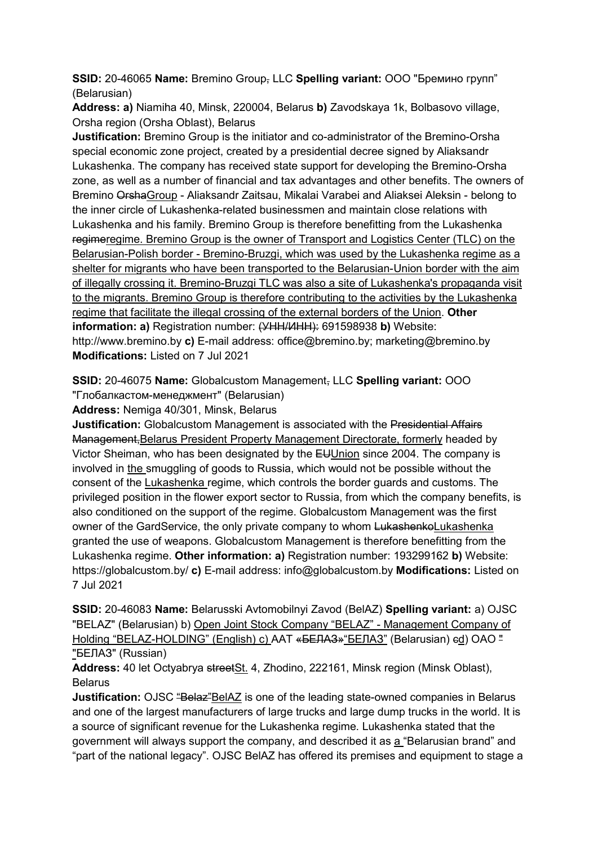**SSID:** 20-46065 **Name:** Bremino Group, LLC **Spelling variant:** ООО "Бремино групп" (Belarusian)

**Address: a)** Niamiha 40, Minsk, 220004, Belarus **b)** Zavodskaya 1k, Bolbasovo village, Orsha region (Orsha Oblast), Belarus

**Justification:** Bremino Group is the initiator and co-administrator of the Bremino-Orsha special economic zone project, created by a presidential decree signed by Aliaksandr Lukashenka. The company has received state support for developing the Bremino-Orsha zone, as well as a number of financial and tax advantages and other benefits. The owners of Bremino OrshaGroup - Aliaksandr Zaitsau, Mikalai Varabei and Aliaksei Aleksin - belong to the inner circle of Lukashenka-related businessmen and maintain close relations with Lukashenka and his family. Bremino Group is therefore benefitting from the Lukashenka regimeregime. Bremino Group is the owner of Transport and Logistics Center (TLC) on the Belarusian-Polish border - Bremino-Bruzgi, which was used by the Lukashenka regime as a shelter for migrants who have been transported to the Belarusian-Union border with the aim of illegally crossing it. Bremino-Bruzgi TLC was also a site of Lukashenka's propaganda visit to the migrants. Bremino Group is therefore contributing to the activities by the Lukashenka regime that facilitate the illegal crossing of the external borders of the Union. **Other information: a)** Registration number: (УНН/ИНН): 691598938 **b)** Website: http://www.bremino.by **c)** E-mail address: office@bremino.by; marketing@bremino.by **Modifications:** Listed on 7 Jul 2021

**SSID:** 20-46075 **Name:** Globalcustom Management, LLC **Spelling variant:** ООО "Глобалкастом-менеджмент" (Belarusian)

**Address:** Nemiga 40/301, Minsk, Belarus

**Justification:** Globalcustom Management is associated with the Presidential Affairs Management,Belarus President Property Management Directorate, formerly headed by Victor Sheiman, who has been designated by the EUUnion since 2004. The company is involved in the smuggling of goods to Russia, which would not be possible without the consent of the Lukashenka regime, which controls the border guards and customs. The privileged position in the flower export sector to Russia, from which the company benefits, is also conditioned on the support of the regime. Globalcustom Management was the first owner of the GardService, the only private company to whom LukashenkoLukashenka granted the use of weapons. Globalcustom Management is therefore benefitting from the Lukashenka regime. **Other information: a)** Registration number: 193299162 **b)** Website: https://globalcustom.by/ **c)** E-mail address: info@globalcustom.by **Modifications:** Listed on 7 Jul 2021

**SSID:** 20-46083 **Name:** Belarusski Avtomobilnyi Zavod (BelAZ) **Spelling variant:** a) OJSC "BELAZ" (Belarusian) b) Open Joint Stock Company "BELAZ" - Management Company of Holding "BELAZ-HOLDING" (English) c) ААТ «<del>БЕЛАЗ»</del> "БЕЛАЗ" (Belarusian) ed) ОАО " "БЕЛАЗ" (Russian)

**Address:** 40 let Octyabrya streetSt. 4, Zhodino, 222161, Minsk region (Minsk Oblast), Belarus

**Justification:** OJSC "Belaz"BelAZ is one of the leading state-owned companies in Belarus and one of the largest manufacturers of large trucks and large dump trucks in the world. It is a source of significant revenue for the Lukashenka regime. Lukashenka stated that the government will always support the company, and described it as a "Belarusian brand" and "part of the national legacy". OJSC BelAZ has offered its premises and equipment to stage a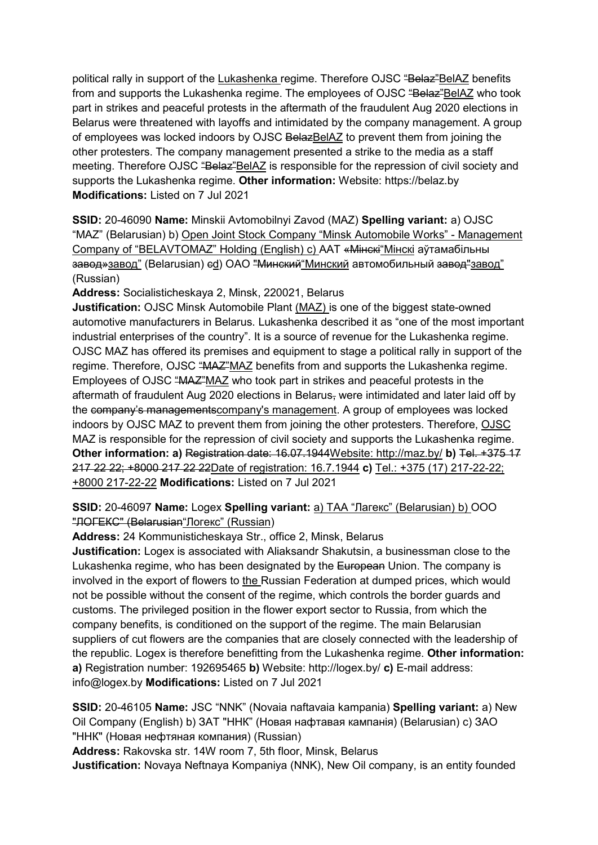political rally in support of the Lukashenka regime. Therefore OJSC "Belaz"BelAZ benefits from and supports the Lukashenka regime. The employees of OJSC "Belaz" BelAZ who took part in strikes and peaceful protests in the aftermath of the fraudulent Aug 2020 elections in Belarus were threatened with layoffs and intimidated by the company management. A group of employees was locked indoors by OJSC BelazBelAZ to prevent them from joining the other protesters. The company management presented a strike to the media as a staff meeting. Therefore OJSC "Belaz"BelAZ is responsible for the repression of civil society and supports the Lukashenka regime. **Other information:** Website: https://belaz.by **Modifications:** Listed on 7 Jul 2021

**SSID:** 20-46090 **Name:** Minskii Avtomobilnyi Zavod (MAZ) **Spelling variant:** a) OJSC "MAZ" (Belarusian) b) Open Joint Stock Company "Minsk Automobile Works" - Management Company of "BELAVTOMAZ" Holding (English) c) ААТ «Мінскі "Мінскі аўтамабільны завод»завод" (Belarusian) ed) ОАО "Минский"Минский автомобильный завод"завод" (Russian)

**Address:** Socialisticheskaya 2, Minsk, 220021, Belarus

**Justification:** OJSC Minsk Automobile Plant (MAZ) is one of the biggest state-owned automotive manufacturers in Belarus. Lukashenka described it as "one of the most important industrial enterprises of the country". It is a source of revenue for the Lukashenka regime. OJSC MAZ has offered its premises and equipment to stage a political rally in support of the regime. Therefore, OJSC "MAZ"MAZ benefits from and supports the Lukashenka regime. Employees of OJSC "MAZ"MAZ who took part in strikes and peaceful protests in the aftermath of fraudulent Aug 2020 elections in Belarus, were intimidated and later laid off by the company's managementscompany's management. A group of employees was locked indoors by OJSC MAZ to prevent them from joining the other protesters. Therefore, OJSC MAZ is responsible for the repression of civil society and supports the Lukashenka regime. **Other information: a)** Registration date: 16.07.1944Website: http://maz.by/ **b)** Tel. +375 17 217 22 22; +8000 217 22 22Date of registration: 16.7.1944 **c)** Tel.: +375 (17) 217-22-22; +8000 217-22-22 **Modifications:** Listed on 7 Jul 2021

**SSID:** 20-46097 **Name:** Logex **Spelling variant:** a) ТАА "Лагекс" (Belarusian) b) ООО "ЛОГЕКС" (Belarusian" Логекс" (Russian)

**Address:** 24 Kommunisticheskaya Str., office 2, Minsk, Belarus

**Justification:** Logex is associated with Aliaksandr Shakutsin, a businessman close to the Lukashenka regime, who has been designated by the European Union. The company is involved in the export of flowers to the Russian Federation at dumped prices, which would not be possible without the consent of the regime, which controls the border guards and customs. The privileged position in the flower export sector to Russia, from which the company benefits, is conditioned on the support of the regime. The main Belarusian suppliers of cut flowers are the companies that are closely connected with the leadership of the republic. Logex is therefore benefitting from the Lukashenka regime. **Other information: a)** Registration number: 192695465 **b)** Website: http://logex.by/ **c)** E-mail address: info@logex.by **Modifications:** Listed on 7 Jul 2021

**SSID:** 20-46105 **Name:** JSC "NNK" (Novaia naftavaia kampania) **Spelling variant:** a) New Oil Company (English) b) ЗАТ "ННК" (Новая нафтавая кампанiя) (Belarusian) c) ЗАО "ННК" (Новая нефтяная компания) (Russian)

**Address:** Rakovska str. 14W room 7, 5th floor, Minsk, Belarus

**Justification:** Novaya Neftnaya Kompaniya (NNK), New Oil company, is an entity founded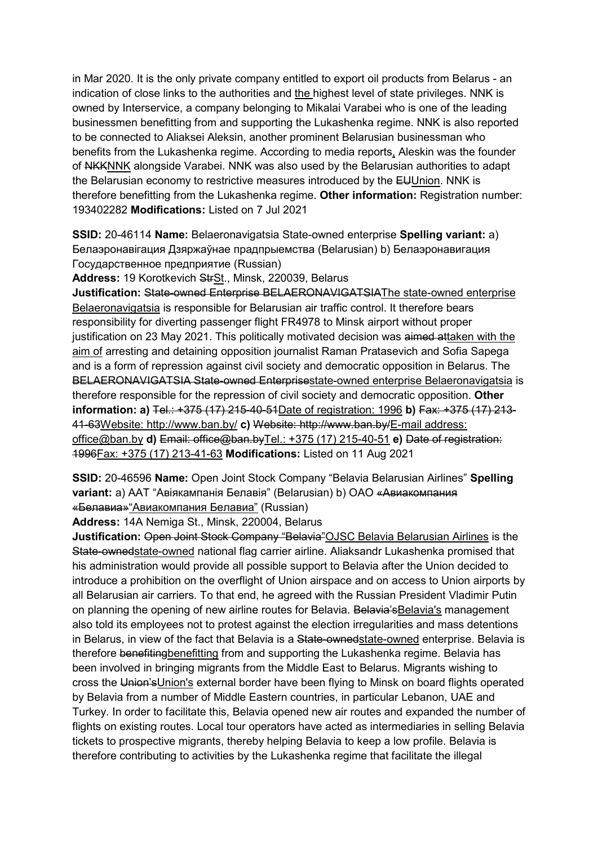in Mar 2020. It is the only private company entitled to export oil products from Belarus - an indication of close links to the authorities and the highest level of state privileges. NNK is owned by Interservice, a company belonging to Mikalai Varabei who is one of the leading businessmen benefitting from and supporting the Lukashenka regime. NNK is also reported to be connected to Aliaksei Aleksin, another prominent Belarusian businessman who benefits from the Lukashenka regime. According to media reports, Aleskin was the founder of NKKNNK alongside Varabei. NNK was also used by the Belarusian authorities to adapt the Belarusian economy to restrictive measures introduced by the EUUnion. NNK is therefore benefitting from the Lukashenka regime. **Other information:** Registration number: 193402282 **Modifications:** Listed on 7 Jul 2021

**SSID:** 20-46114 **Name:** Belaeronavigatsia State-owned enterprise **Spelling variant:** a) Белаэронавiгация Дзяржаўнае прадпрыемства (Belarusian) b) Белаэронавигация Государственное предприятие (Russian)

**Address:** 19 Korotkevich StrSt., Minsk, 220039, Belarus

**Justification:** State-owned Enterprise BELAERONAVIGATSIAThe state-owned enterprise Belaeronavigatsia is responsible for Belarusian air traffic control. It therefore bears responsibility for diverting passenger flight FR4978 to Minsk airport without proper justification on 23 May 2021. This politically motivated decision was aimed attaken with the aim of arresting and detaining opposition journalist Raman Pratasevich and Sofia Sapega and is a form of repression against civil society and democratic opposition in Belarus. The BELAERONAVIGATSIA State-owned Enterprisestate-owned enterprise Belaeronavigatsia is therefore responsible for the repression of civil society and democratic opposition. **Other information: a)** Tel.: +375 (17) 215-40-51Date of registration: 1996 **b)** Fax: +375 (17) 213- 41-63Website: http://www.ban.by/ **c)** Website: http://www.ban.by/E-mail address: office@ban.by **d)** Email: office@ban.byTel.: +375 (17) 215-40-51 **e)** Date of registration: 1996Fax: +375 (17) 213-41-63 **Modifications:** Listed on 11 Aug 2021

**SSID:** 20-46596 **Name:** Open Joint Stock Company "Belavia Belarusian Airlines" **Spelling variant:** a) ААТ "Авiякампанiя Белавiя" (Belarusian) b) ОАО «Авиакомпания «Белавиа»"Авиакомпания Белавиа" (Russian)

**Address:** 14A Nemiga St., Minsk, 220004, Belarus

**Justification:** Open Joint Stock Company "Belavia"OJSC Belavia Belarusian Airlines is the State-ownedstate-owned national flag carrier airline. Aliaksandr Lukashenka promised that his administration would provide all possible support to Belavia after the Union decided to introduce a prohibition on the overflight of Union airspace and on access to Union airports by all Belarusian air carriers. To that end, he agreed with the Russian President Vladimir Putin on planning the opening of new airline routes for Belavia. Belavia's Belavia's management also told its employees not to protest against the election irregularities and mass detentions in Belarus, in view of the fact that Belavia is a State-ownedstate-owned enterprise. Belavia is therefore benefitingbenefitting from and supporting the Lukashenka regime. Belavia has been involved in bringing migrants from the Middle East to Belarus. Migrants wishing to cross the Union's Union's external border have been flying to Minsk on board flights operated by Belavia from a number of Middle Eastern countries, in particular Lebanon, UAE and Turkey. In order to facilitate this, Belavia opened new air routes and expanded the number of flights on existing routes. Local tour operators have acted as intermediaries in selling Belavia tickets to prospective migrants, thereby helping Belavia to keep a low profile. Belavia is therefore contributing to activities by the Lukashenka regime that facilitate the illegal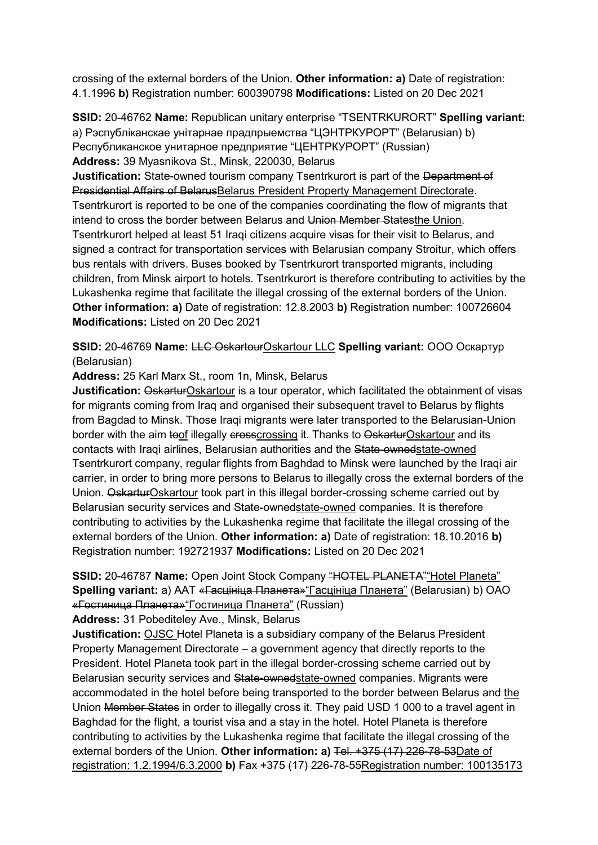crossing of the external borders of the Union. **Other information: a)** Date of registration: 4.1.1996 **b)** Registration number: 600390798 **Modifications:** Listed on 20 Dec 2021

**SSID:** 20-46762 **Name:** Republican unitary enterprise "TSENTRKURORT" **Spelling variant:**  a) Рэспублiканскае унiтарнае прадпрыемства "ЦЭНТРКУРОРТ" (Belarusian) b) Республиканское унитарное предприятие "ЦЕНТРКУРОРТ" (Russian) **Address:** 39 Myasnikova St., Minsk, 220030, Belarus

**Justification:** State-owned tourism company Tsentrkurort is part of the Department of Presidential Affairs of BelarusBelarus President Property Management Directorate. Tsentrkurort is reported to be one of the companies coordinating the flow of migrants that intend to cross the border between Belarus and Union Member Statesthe Union. Tsentrkurort helped at least 51 Iraqi citizens acquire visas for their visit to Belarus, and signed a contract for transportation services with Belarusian company Stroitur, which offers bus rentals with drivers. Buses booked by Tsentrkurort transported migrants, including children, from Minsk airport to hotels. Tsentrkurort is therefore contributing to activities by the Lukashenka regime that facilitate the illegal crossing of the external borders of the Union. **Other information: a)** Date of registration: 12.8.2003 **b)** Registration number: 100726604 **Modifications:** Listed on 20 Dec 2021

#### **SSID:** 20-46769 **Name:** LLC OskartourOskartour LLC **Spelling variant:** ООО Оскартур (Belarusian)

**Address:** 25 Karl Marx St., room 1n, Minsk, Belarus

**Justification: OskarturOskartour is a tour operator, which facilitated the obtainment of visas** for migrants coming from Iraq and organised their subsequent travel to Belarus by flights from Bagdad to Minsk. Those Iraqi migrants were later transported to the Belarusian-Union border with the aim toof illegally crosscrossing it. Thanks to OskarturOskartour and its contacts with Iraqi airlines, Belarusian authorities and the State-ownedstate-owned Tsentrkurort company, regular flights from Baghdad to Minsk were launched by the Iraqi air carrier, in order to bring more persons to Belarus to illegally cross the external borders of the Union. OskarturOskartour took part in this illegal border-crossing scheme carried out by Belarusian security services and State-ownedstate-owned companies. It is therefore contributing to activities by the Lukashenka regime that facilitate the illegal crossing of the external borders of the Union. **Other information: a)** Date of registration: 18.10.2016 **b)**  Registration number: 192721937 **Modifications:** Listed on 20 Dec 2021

## **SSID:** 20-46787 **Name:** Open Joint Stock Company "HOTEL PLANETA""Hotel Planeta" **Spelling variant:** a) ААТ «Гасцiнiца Планета»"Гасцiнiца Планета" (Belarusian) b) OAO «Гостиница Планета»"Гостиница Планета" (Russian)

**Address:** 31 Pobediteley Ave., Minsk, Belarus

**Justification:** OJSC Hotel Planeta is a subsidiary company of the Belarus President Property Management Directorate – a government agency that directly reports to the President. Hotel Planeta took part in the illegal border-crossing scheme carried out by Belarusian security services and State-ownedstate-owned companies. Migrants were accommodated in the hotel before being transported to the border between Belarus and the Union Member States in order to illegally cross it. They paid USD 1 000 to a travel agent in Baghdad for the flight, a tourist visa and a stay in the hotel. Hotel Planeta is therefore contributing to activities by the Lukashenka regime that facilitate the illegal crossing of the external borders of the Union. **Other information: a)** Tel. +375 (17) 226-78-53Date of registration: 1.2.1994/6.3.2000 **b)** Fax +375 (17) 226-78-55Registration number: 100135173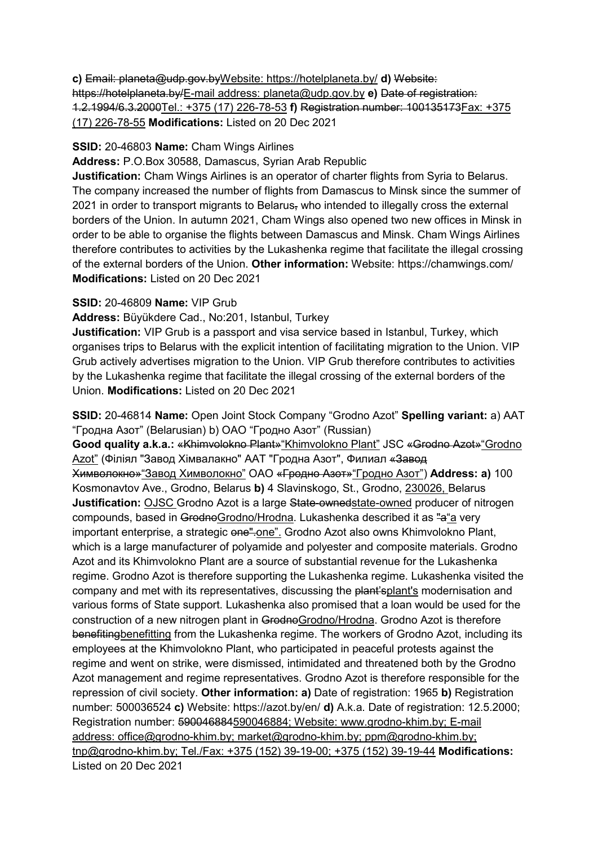**c)** Email: planeta@udp.gov.byWebsite: https://hotelplaneta.by/ **d)** Website: https://hotelplaneta.by/E-mail address: planeta@udp.gov.by **e)** Date of registration: 1.2.1994/6.3.2000Tel.: +375 (17) 226-78-53 **f)** Registration number: 100135173Fax: +375 (17) 226-78-55 **Modifications:** Listed on 20 Dec 2021

#### **SSID:** 20-46803 **Name:** Cham Wings Airlines

**Address:** P.O.Box 30588, Damascus, Syrian Arab Republic

**Justification:** Cham Wings Airlines is an operator of charter flights from Syria to Belarus. The company increased the number of flights from Damascus to Minsk since the summer of 2021 in order to transport migrants to Belarus, who intended to illegally cross the external borders of the Union. In autumn 2021, Cham Wings also opened two new offices in Minsk in order to be able to organise the flights between Damascus and Minsk. Cham Wings Airlines therefore contributes to activities by the Lukashenka regime that facilitate the illegal crossing of the external borders of the Union. **Other information:** Website: https://chamwings.com/ **Modifications:** Listed on 20 Dec 2021

#### **SSID:** 20-46809 **Name:** VIP Grub

#### **Address:** Büyükdere Cad., No:201, Istanbul, Turkey

**Justification:** VIP Grub is a passport and visa service based in Istanbul, Turkey, which organises trips to Belarus with the explicit intention of facilitating migration to the Union. VIP Grub actively advertises migration to the Union. VIP Grub therefore contributes to activities by the Lukashenka regime that facilitate the illegal crossing of the external borders of the Union. **Modifications:** Listed on 20 Dec 2021

**SSID:** 20-46814 **Name:** Open Joint Stock Company "Grodno Azot" **Spelling variant:** a) ААТ "Гродна Азот" (Belarusian) b) ОАО "Гродно Азот" (Russian)

**Good quality a.k.a.:** «Khimvolokno Plant»"Khimvolokno Plant" JSC «Grodno Azot»"Grodno Azot" (Філіял "Завод Хімвалакно" ААТ "Гродна Азот", Филиал <del>«Завод</del> Химволокно»"Завод Химволокно" ОАО «Гродно Азот»"Гродно Азот") **Address: a)** 100 Kosmonavtov Ave., Grodno, Belarus **b)** 4 Slavinskogo, St., Grodno, 230026, Belarus **Justification:** OJSC Grodno Azot is a large State-ownedstate-owned producer of nitrogen compounds, based in GrodnoGrodno/Hrodna. Lukashenka described it as "a"a very important enterprise, a strategic one".one". Grodno Azot also owns Khimvolokno Plant, which is a large manufacturer of polyamide and polyester and composite materials. Grodno Azot and its Khimvolokno Plant are a source of substantial revenue for the Lukashenka regime. Grodno Azot is therefore supporting the Lukashenka regime. Lukashenka visited the company and met with its representatives, discussing the plant's plant's modernisation and various forms of State support. Lukashenka also promised that a loan would be used for the construction of a new nitrogen plant in GrodnoGrodno/Hrodna. Grodno Azot is therefore benefitingbenefitting from the Lukashenka regime. The workers of Grodno Azot, including its employees at the Khimvolokno Plant, who participated in peaceful protests against the regime and went on strike, were dismissed, intimidated and threatened both by the Grodno Azot management and regime representatives. Grodno Azot is therefore responsible for the repression of civil society. **Other information: a)** Date of registration: 1965 **b)** Registration number: 500036524 **c)** Website: https://azot.by/en/ **d)** A.k.a. Date of registration: 12.5.2000; Registration number: 590046884590046884; Website: www.grodno-khim.by; E-mail address: office@grodno-khim.by; market@grodno-khim.by; ppm@grodno-khim.by; tnp@grodno-khim.by; Tel./Fax: +375 (152) 39-19-00; +375 (152) 39-19-44 **Modifications:**  Listed on 20 Dec 2021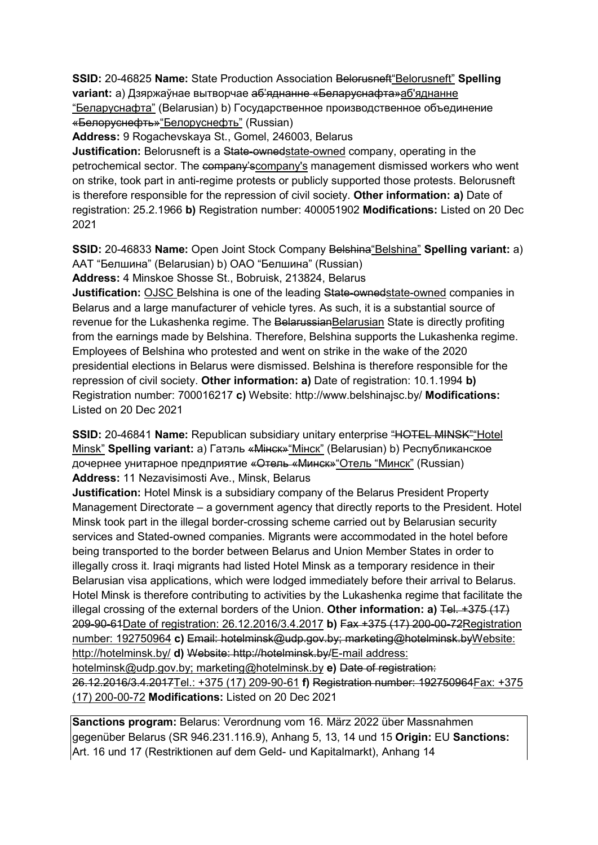**SSID: 20-46825 Name: State Production Association Belorusneft "Belorusneft" Spelling variant:** a) Дзяржаўнае вытворчае аб'яднанне «Беларуснафта»аб'яднанне "Беларуснафта" (Belarusian) b) Государственное производственное объединение «Белоруснефть»"Белоруснефть" (Russian)

**Address:** 9 Rogachevskaya St., Gomel, 246003, Belarus

**Justification:** Belorusneft is a State-ownedstate-owned company, operating in the petrochemical sector. The company'scompany's management dismissed workers who went on strike, took part in anti-regime protests or publicly supported those protests. Belorusneft is therefore responsible for the repression of civil society. **Other information: a)** Date of registration: 25.2.1966 **b)** Registration number: 400051902 **Modifications:** Listed on 20 Dec 2021

**SSID:** 20-46833 Name: Open Joint Stock Company Belshina "Belshina" Spelling variant: a) AAT "Белшина" (Belarusian) b) ОАО "Белшина" (Russian)

**Address:** 4 Minskoe Shosse St., Bobruisk, 213824, Belarus

**Justification:** OJSC Belshina is one of the leading State-ownedstate-owned companies in Belarus and a large manufacturer of vehicle tyres. As such, it is a substantial source of revenue for the Lukashenka regime. The BelarussianBelarusian State is directly profiting from the earnings made by Belshina. Therefore, Belshina supports the Lukashenka regime. Employees of Belshina who protested and went on strike in the wake of the 2020 presidential elections in Belarus were dismissed. Belshina is therefore responsible for the repression of civil society. **Other information: a)** Date of registration: 10.1.1994 **b)**  Registration number: 700016217 **c)** Website: http://www.belshinajsc.by/ **Modifications:**  Listed on 20 Dec 2021

**SSID:** 20-46841 **Name:** Republican subsidiary unitary enterprise "HOTEL MINSK""Hotel Minsk" **Spelling variant:** a) Гатэль «Мiнск»"Мiнск" (Belarusian) b) Республиканское дочернее унитарное предприятие «Отель «Минск»"Отель "Минск" (Russian) **Address:** 11 Nezavisimosti Ave., Minsk, Belarus

**Justification:** Hotel Minsk is a subsidiary company of the Belarus President Property Management Directorate – a government agency that directly reports to the President. Hotel Minsk took part in the illegal border-crossing scheme carried out by Belarusian security services and Stated-owned companies. Migrants were accommodated in the hotel before being transported to the border between Belarus and Union Member States in order to illegally cross it. Iraqi migrants had listed Hotel Minsk as a temporary residence in their Belarusian visa applications, which were lodged immediately before their arrival to Belarus. Hotel Minsk is therefore contributing to activities by the Lukashenka regime that facilitate the illegal crossing of the external borders of the Union. **Other information: a)** Tel. +375 (17) 209-90-61Date of registration: 26.12.2016/3.4.2017 **b)** Fax +375 (17) 200-00-72Registration number: 192750964 **c)** Email: hotelminsk@udp.gov.by; marketing@hotelminsk.byWebsite: http://hotelminsk.by/ **d)** Website: http://hotelminsk.by/E-mail address: hotelminsk@udp.gov.by; marketing@hotelminsk.by **e)** Date of registration: 26.12.2016/3.4.2017Tel.: +375 (17) 209-90-61 **f)** Registration number: 192750964Fax: +375 (17) 200-00-72 **Modifications:** Listed on 20 Dec 2021

**Sanctions program:** Belarus: Verordnung vom 16. März 2022 über Massnahmen gegenüber Belarus (SR 946.231.116.9), Anhang 5, 13, 14 und 15 **Origin:** EU **Sanctions:** Art. 16 und 17 (Restriktionen auf dem Geld- und Kapitalmarkt), Anhang 14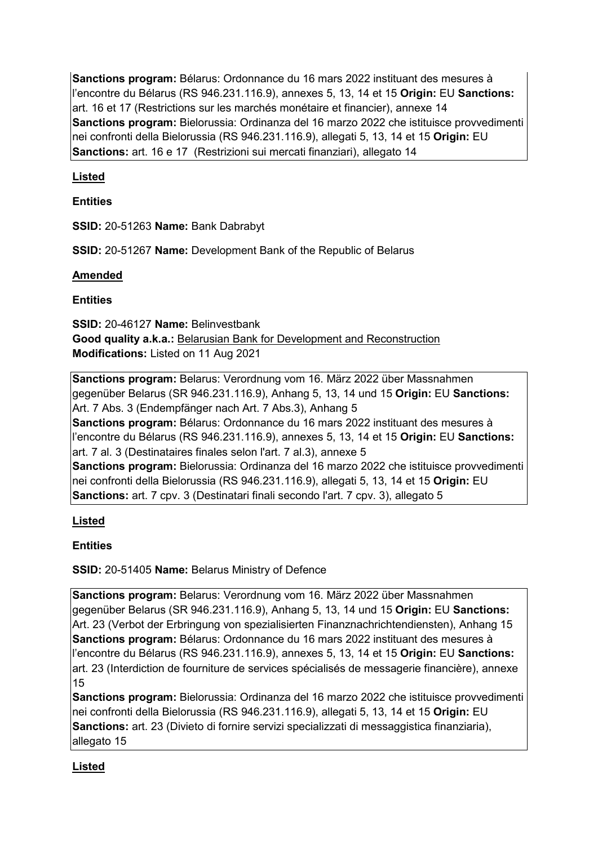**Sanctions program:** Bélarus: Ordonnance du 16 mars 2022 instituant des mesures à l'encontre du Bélarus (RS 946.231.116.9), annexes 5, 13, 14 et 15 **Origin:** EU **Sanctions:** art. 16 et 17 (Restrictions sur les marchés monétaire et financier), annexe 14 **Sanctions program:** Bielorussia: Ordinanza del 16 marzo 2022 che istituisce provvedimenti nei confronti della Bielorussia (RS 946.231.116.9), allegati 5, 13, 14 et 15 **Origin:** EU **Sanctions:** art. 16 e 17 (Restrizioni sui mercati finanziari), allegato 14

# **Listed**

# **Entities**

**SSID:** 20-51263 **Name:** Bank Dabrabyt

**SSID:** 20-51267 **Name:** Development Bank of the Republic of Belarus

## **Amended**

## **Entities**

**SSID:** 20-46127 **Name:** Belinvestbank **Good quality a.k.a.:** Belarusian Bank for Development and Reconstruction **Modifications:** Listed on 11 Aug 2021

**Sanctions program:** Belarus: Verordnung vom 16. März 2022 über Massnahmen gegenüber Belarus (SR 946.231.116.9), Anhang 5, 13, 14 und 15 **Origin:** EU **Sanctions:** Art. 7 Abs. 3 (Endempfänger nach Art. 7 Abs.3), Anhang 5 **Sanctions program:** Bélarus: Ordonnance du 16 mars 2022 instituant des mesures à l'encontre du Bélarus (RS 946.231.116.9), annexes 5, 13, 14 et 15 **Origin:** EU **Sanctions:** art. 7 al. 3 (Destinataires finales selon l'art. 7 al.3), annexe 5 **Sanctions program:** Bielorussia: Ordinanza del 16 marzo 2022 che istituisce provvedimenti nei confronti della Bielorussia (RS 946.231.116.9), allegati 5, 13, 14 et 15 **Origin:** EU **Sanctions:** art. 7 cpv. 3 (Destinatari finali secondo l'art. 7 cpv. 3), allegato 5

# **Listed**

# **Entities**

**SSID:** 20-51405 **Name:** Belarus Ministry of Defence

**Sanctions program:** Belarus: Verordnung vom 16. März 2022 über Massnahmen gegenüber Belarus (SR 946.231.116.9), Anhang 5, 13, 14 und 15 **Origin:** EU **Sanctions:** Art. 23 (Verbot der Erbringung von spezialisierten Finanznachrichtendiensten), Anhang 15 **Sanctions program:** Bélarus: Ordonnance du 16 mars 2022 instituant des mesures à l'encontre du Bélarus (RS 946.231.116.9), annexes 5, 13, 14 et 15 **Origin:** EU **Sanctions:** art. 23 (Interdiction de fourniture de services spécialisés de messagerie financière), annexe 15

**Sanctions program:** Bielorussia: Ordinanza del 16 marzo 2022 che istituisce provvedimenti nei confronti della Bielorussia (RS 946.231.116.9), allegati 5, 13, 14 et 15 **Origin:** EU **Sanctions:** art. 23 (Divieto di fornire servizi specializzati di messaggistica finanziaria), allegato 15

# **Listed**